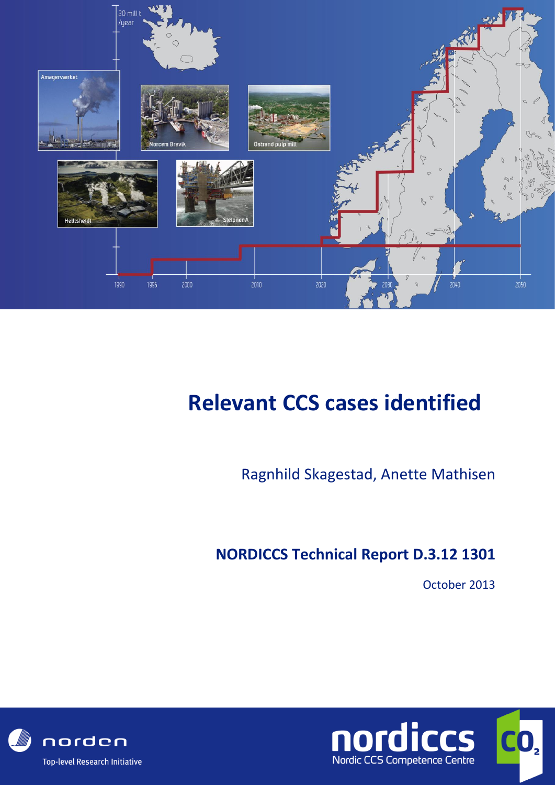

# **Relevant CCS cases identified**

Ragnhild Skagestad, Anette Mathisen

**NORDICCS Technical Report D.3.12 1301**

October 2013



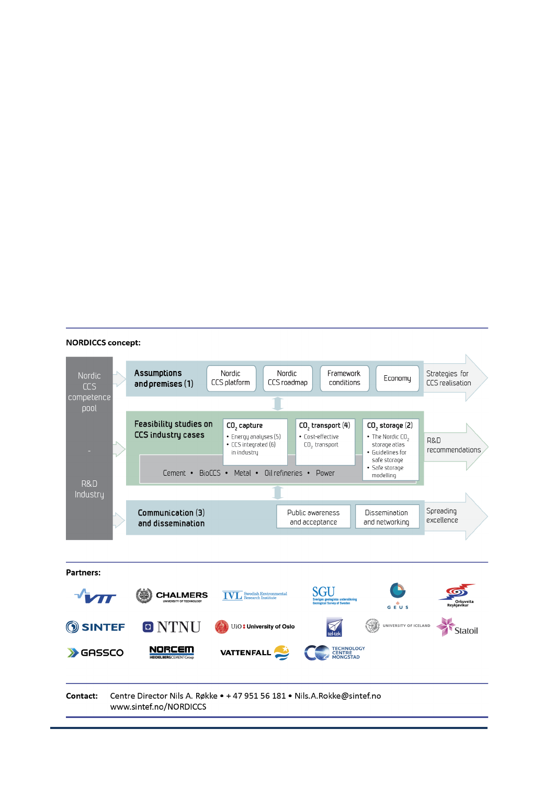#### **NORDICCS concept:**

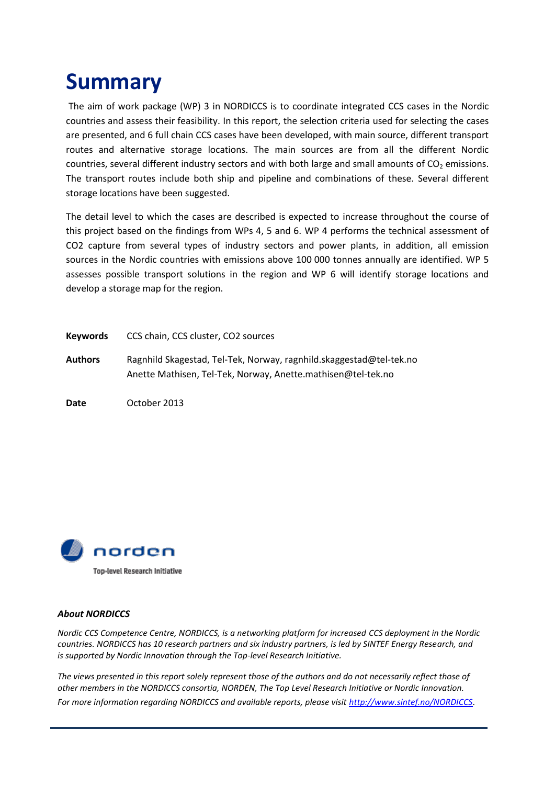## **Summary**

The aim of work package (WP) 3 in NORDICCS is to coordinate integrated CCS cases in the Nordic countries and assess their feasibility. In this report, the selection criteria used for selecting the cases are presented, and 6 full chain CCS cases have been developed, with main source, different transport routes and alternative storage locations. The main sources are from all the different Nordic countries, several different industry sectors and with both large and small amounts of CO<sub>2</sub> emissions. The transport routes include both ship and pipeline and combinations of these. Several different storage locations have been suggested.

The detail level to which the cases are described is expected to increase throughout the course of this project based on the findings from WPs 4, 5 and 6. WP 4 performs the technical assessment of CO2 capture from several types of industry sectors and power plants, in addition, all emission sources in the Nordic countries with emissions above 100 000 tonnes annually are identified. WP 5 assesses possible transport solutions in the region and WP 6 will identify storage locations and develop a storage map for the region.

| <b>Keywords</b> | CCS chain, CCS cluster, CO2 sources |
|-----------------|-------------------------------------|
|                 |                                     |

**Authors** Ragnhild Skagestad, Tel-Tek, Norway, ragnhild.skaggestad@tel-tek.no Anette Mathisen, Tel-Tek, Norway, Anette.mathisen@tel-tek.no

**Date** October 2013



#### *About NORDICCS*

*Nordic CCS Competence Centre, NORDICCS, is a networking platform for increased CCS deployment in the Nordic countries. NORDICCS has 10 research partners and six industry partners, is led by SINTEF Energy Research, and is supported by Nordic Innovation through the Top-level Research Initiative.*

The views presented in this report solely represent those of the authors and do not necessarily reflect those of *other members in the NORDICCS consortia, NORDEN, The Top Level Research Initiative or Nordic Innovation. For more information regarding NORDICCS and available reports, please visit<http://www.sintef.no/NORDICCS>*.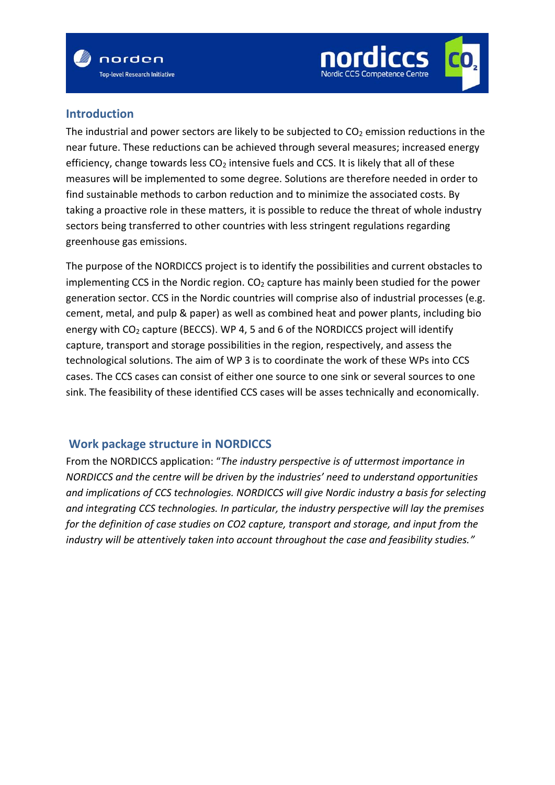

### **Introduction**

The industrial and power sectors are likely to be subjected to  $CO<sub>2</sub>$  emission reductions in the near future. These reductions can be achieved through several measures; increased energy efficiency, change towards less  $CO<sub>2</sub>$  intensive fuels and CCS. It is likely that all of these measures will be implemented to some degree. Solutions are therefore needed in order to find sustainable methods to carbon reduction and to minimize the associated costs. By taking a proactive role in these matters, it is possible to reduce the threat of whole industry sectors being transferred to other countries with less stringent regulations regarding greenhouse gas emissions.

The purpose of the NORDICCS project is to identify the possibilities and current obstacles to implementing CCS in the Nordic region.  $CO<sub>2</sub>$  capture has mainly been studied for the power generation sector. CCS in the Nordic countries will comprise also of industrial processes (e.g. cement, metal, and pulp & paper) as well as combined heat and power plants, including bio energy with  $CO<sub>2</sub>$  capture (BECCS). WP 4, 5 and 6 of the NORDICCS project will identify capture, transport and storage possibilities in the region, respectively, and assess the technological solutions. The aim of WP 3 is to coordinate the work of these WPs into CCS cases. The CCS cases can consist of either one source to one sink or several sources to one sink. The feasibility of these identified CCS cases will be asses technically and economically.

## **Work package structure in NORDICCS**

From the NORDICCS application: "*The industry perspective is of uttermost importance in NORDICCS and the centre will be driven by the industries' need to understand opportunities and implications of CCS technologies. NORDICCS will give Nordic industry a basis for selecting and integrating CCS technologies. In particular, the industry perspective will lay the premises for the definition of case studies on CO2 capture, transport and storage, and input from the industry will be attentively taken into account throughout the case and feasibility studies."*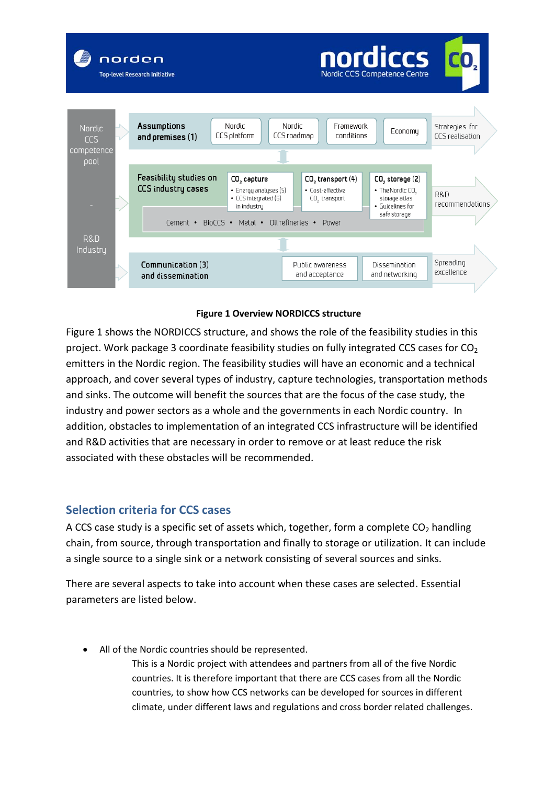

#### **Figure 1 Overview NORDICCS structure**

Figure 1 shows the NORDICCS structure, and shows the role of the feasibility studies in this project. Work package 3 coordinate feasibility studies on fully integrated CCS cases for  $CO<sub>2</sub>$ emitters in the Nordic region. The feasibility studies will have an economic and a technical approach, and cover several types of industry, capture technologies, transportation methods and sinks. The outcome will benefit the sources that are the focus of the case study, the industry and power sectors as a whole and the governments in each Nordic country. In addition, obstacles to implementation of an integrated CCS infrastructure will be identified and R&D activities that are necessary in order to remove or at least reduce the risk associated with these obstacles will be recommended.

## **Selection criteria for CCS cases**

A CCS case study is a specific set of assets which, together, form a complete  $CO<sub>2</sub>$  handling chain, from source, through transportation and finally to storage or utilization. It can include a single source to a single sink or a network consisting of several sources and sinks.

There are several aspects to take into account when these cases are selected. Essential parameters are listed below.

All of the Nordic countries should be represented.

This is a Nordic project with attendees and partners from all of the five Nordic countries. It is therefore important that there are CCS cases from all the Nordic countries, to show how CCS networks can be developed for sources in different climate, under different laws and regulations and cross border related challenges.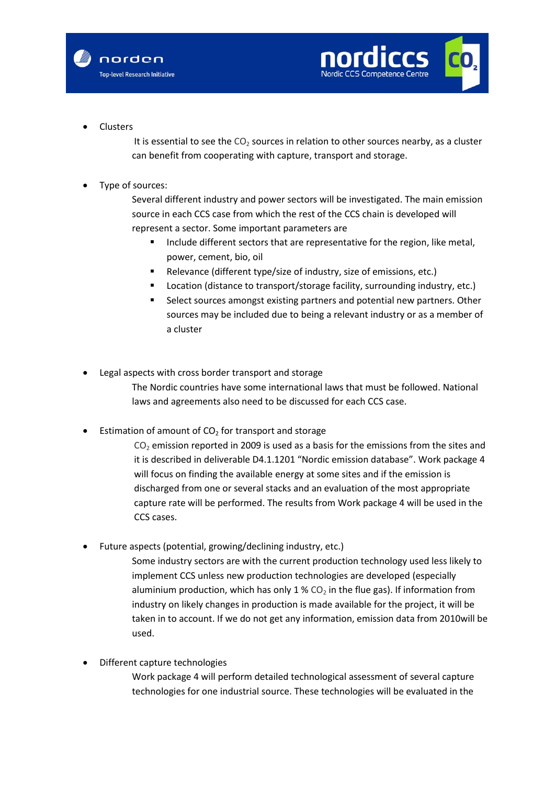



**Clusters** 

It is essential to see the  $CO<sub>2</sub>$  sources in relation to other sources nearby, as a cluster can benefit from cooperating with capture, transport and storage.

Type of sources:

Several different industry and power sectors will be investigated. The main emission source in each CCS case from which the rest of the CCS chain is developed will represent a sector. Some important parameters are

- Include different sectors that are representative for the region, like metal, power, cement, bio, oil
- Relevance (different type/size of industry, size of emissions, etc.)
- Location (distance to transport/storage facility, surrounding industry, etc.)
- Select sources amongst existing partners and potential new partners. Other sources may be included due to being a relevant industry or as a member of a cluster
- Legal aspects with cross border transport and storage The Nordic countries have some international laws that must be followed. National laws and agreements also need to be discussed for each CCS case.
- Estimation of amount of  $CO<sub>2</sub>$  for transport and storage
	- $CO<sub>2</sub>$  emission reported in 2009 is used as a basis for the emissions from the sites and it is described in deliverable D4.1.1201 "Nordic emission database". Work package 4 will focus on finding the available energy at some sites and if the emission is discharged from one or several stacks and an evaluation of the most appropriate capture rate will be performed. The results from Work package 4 will be used in the CCS cases.
- Future aspects (potential, growing/declining industry, etc.)

Some industry sectors are with the current production technology used less likely to implement CCS unless new production technologies are developed (especially aluminium production, which has only 1 %  $CO<sub>2</sub>$  in the flue gas). If information from industry on likely changes in production is made available for the project, it will be taken in to account. If we do not get any information, emission data from 2010will be used.

Different capture technologies

Work package 4 will perform detailed technological assessment of several capture technologies for one industrial source. These technologies will be evaluated in the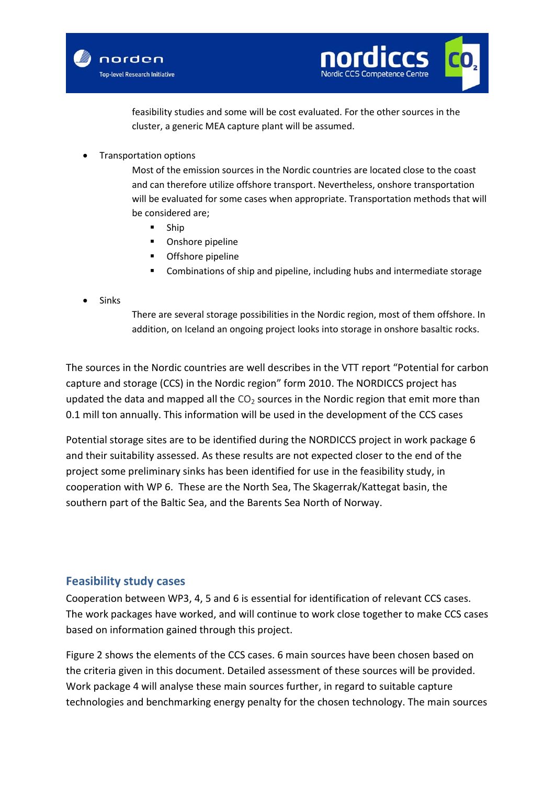



feasibility studies and some will be cost evaluated. For the other sources in the cluster, a generic MEA capture plant will be assumed.

Transportation options

Most of the emission sources in the Nordic countries are located close to the coast and can therefore utilize offshore transport. Nevertheless, onshore transportation will be evaluated for some cases when appropriate. Transportation methods that will be considered are;

- **Ship**
- **•** Onshore pipeline
- Offshore pipeline
- Combinations of ship and pipeline, including hubs and intermediate storage
- Sinks

There are several storage possibilities in the Nordic region, most of them offshore. In addition, on Iceland an ongoing project looks into storage in onshore basaltic rocks.

The sources in the Nordic countries are well describes in the VTT report "Potential for carbon capture and storage (CCS) in the Nordic region" form 2010. The NORDICCS project has updated the data and mapped all the  $CO<sub>2</sub>$  sources in the Nordic region that emit more than 0.1 mill ton annually. This information will be used in the development of the CCS cases

Potential storage sites are to be identified during the NORDICCS project in work package 6 and their suitability assessed. As these results are not expected closer to the end of the project some preliminary sinks has been identified for use in the feasibility study, in cooperation with WP 6. These are the North Sea, The Skagerrak/Kattegat basin, the southern part of the Baltic Sea, and the Barents Sea North of Norway.

## **Feasibility study cases**

Cooperation between WP3, 4, 5 and 6 is essential for identification of relevant CCS cases. The work packages have worked, and will continue to work close together to make CCS cases based on information gained through this project.

Figure 2 shows the elements of the CCS cases. 6 main sources have been chosen based on the criteria given in this document. Detailed assessment of these sources will be provided. Work package 4 will analyse these main sources further, in regard to suitable capture technologies and benchmarking energy penalty for the chosen technology. The main sources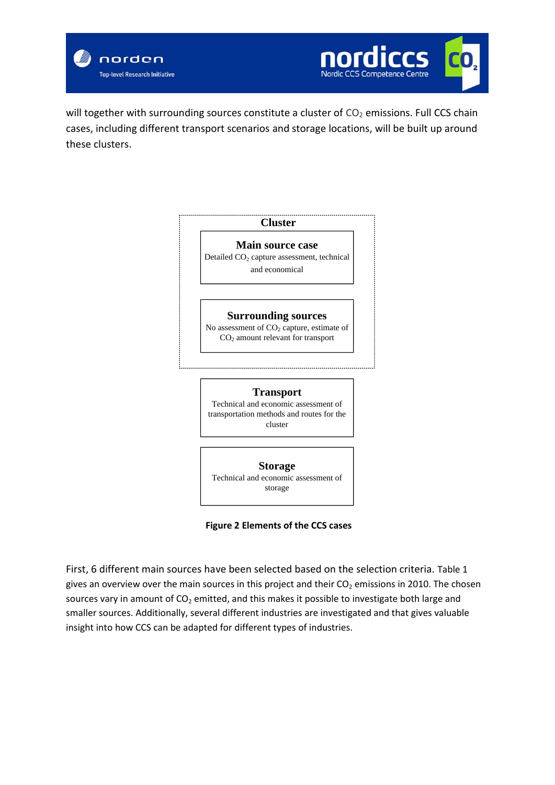



will together with surrounding sources constitute a cluster of  $CO<sub>2</sub>$  emissions. Full CCS chain cases, including different transport scenarios and storage locations, will be built up around these clusters.



**Figure 2 Elements of the CCS cases**

First, 6 different main sources have been selected based on the selection criteria. Table 1 gives an overview over the main sources in this project and their  $CO<sub>2</sub>$  emissions in 2010. The chosen sources vary in amount of CO<sub>2</sub> emitted, and this makes it possible to investigate both large and smaller sources. Additionally, several different industries are investigated and that gives valuable insight into how CCS can be adapted for different types of industries.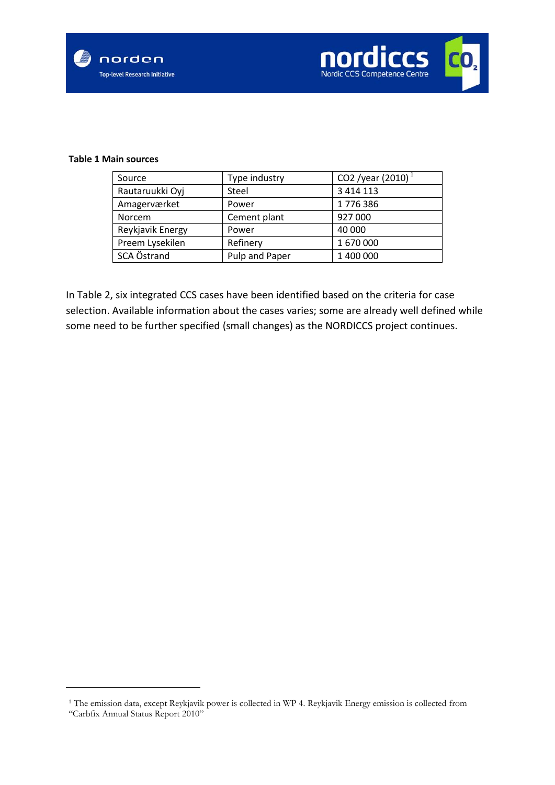



#### **Table 1 Main sources**

1

| Source           | Type industry  | CO2 /year $(2010)^1$ |
|------------------|----------------|----------------------|
| Rautaruukki Oyj  | Steel          | 3 4 1 4 1 1 3        |
| Amagerværket     | Power          | 1776386              |
| <b>Norcem</b>    | Cement plant   | 927 000              |
| Reykjavik Energy | Power          | 40 000               |
| Preem Lysekilen  | Refinery       | 1670000              |
| SCA Östrand      | Pulp and Paper | 1 400 000            |

In Table 2, six integrated CCS cases have been identified based on the criteria for case selection. Available information about the cases varies; some are already well defined while some need to be further specified (small changes) as the NORDICCS project continues.

<sup>1</sup> The emission data, except Reykjavik power is collected in WP 4. Reykjavik Energy emission is collected from "Carbfix Annual Status Report 2010"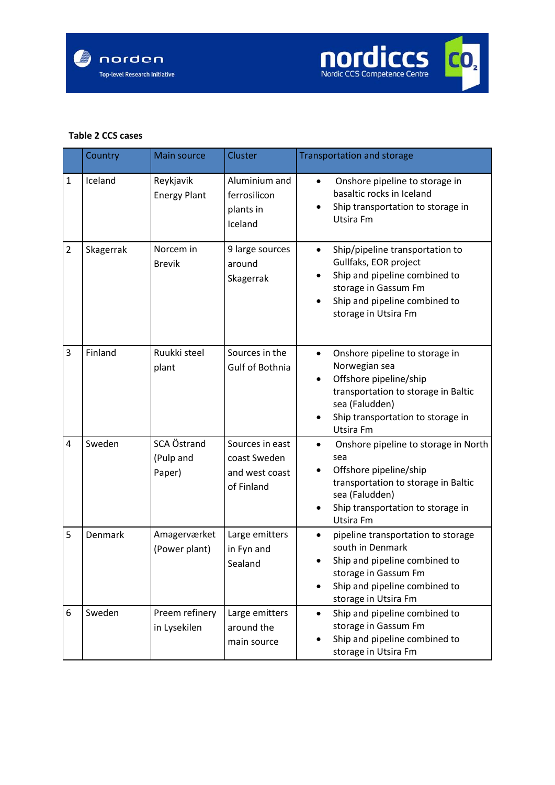



#### **Table 2 CCS cases**

|                | Country   | Main source                        | Cluster                                                         | <b>Transportation and storage</b>                                                                                                                                                                              |
|----------------|-----------|------------------------------------|-----------------------------------------------------------------|----------------------------------------------------------------------------------------------------------------------------------------------------------------------------------------------------------------|
| $\mathbf{1}$   | Iceland   | Reykjavik<br><b>Energy Plant</b>   | Aluminium and<br>ferrosilicon<br>plants in<br>Iceland           | Onshore pipeline to storage in<br>$\bullet$<br>basaltic rocks in Iceland<br>Ship transportation to storage in<br>Utsira Fm                                                                                     |
| $\overline{2}$ | Skagerrak | Norcem in<br><b>Brevik</b>         | 9 large sources<br>around<br>Skagerrak                          | Ship/pipeline transportation to<br>$\bullet$<br>Gullfaks, EOR project<br>Ship and pipeline combined to<br>$\bullet$<br>storage in Gassum Fm<br>Ship and pipeline combined to<br>storage in Utsira Fm           |
| 3              | Finland   | Ruukki steel<br>plant              | Sources in the<br><b>Gulf of Bothnia</b>                        | Onshore pipeline to storage in<br>$\bullet$<br>Norwegian sea<br>Offshore pipeline/ship<br>$\bullet$<br>transportation to storage in Baltic<br>sea (Faludden)<br>Ship transportation to storage in<br>Utsira Fm |
| $\overline{4}$ | Sweden    | SCA Östrand<br>(Pulp and<br>Paper) | Sources in east<br>coast Sweden<br>and west coast<br>of Finland | Onshore pipeline to storage in North<br>$\bullet$<br>sea<br>Offshore pipeline/ship<br>٠<br>transportation to storage in Baltic<br>sea (Faludden)<br>Ship transportation to storage in<br>Utsira Fm             |
| 5              | Denmark   | Amagerværket<br>(Power plant)      | Large emitters<br>in Fyn and<br>Sealand                         | pipeline transportation to storage<br>$\bullet$<br>south in Denmark<br>Ship and pipeline combined to<br>storage in Gassum Fm<br>Ship and pipeline combined to<br>storage in Utsira Fm                          |
| 6              | Sweden    | Preem refinery<br>in Lysekilen     | Large emitters<br>around the<br>main source                     | Ship and pipeline combined to<br>$\bullet$<br>storage in Gassum Fm<br>Ship and pipeline combined to<br>storage in Utsira Fm                                                                                    |